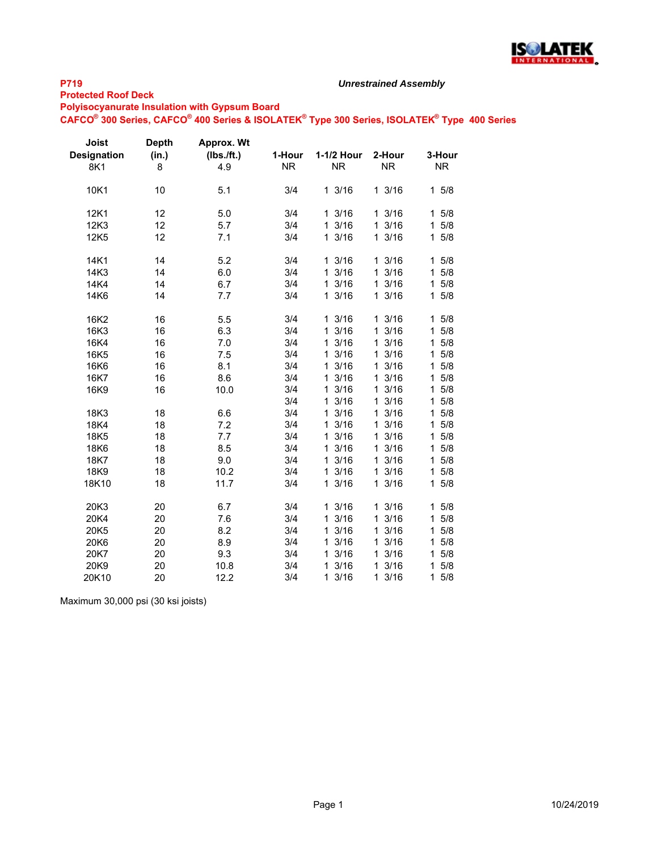

#### **Protected Roof Deck**

#### *Unrestrained Assembly*

**Polyisocyanurate Insulation with Gypsum Board**

**CAFCO® 300 Series, CAFCO® 400 Series & ISOLATEK® Type 300 Series, ISOLATEK® Type 400 Series**

| Joist<br><b>Designation</b><br>8K1 | <b>Depth</b><br>(in.)<br>8 | Approx. Wt<br>(Ibs./ft.)<br>4.9 | 1-Hour<br><b>NR</b> | 1-1/2 Hour<br><b>NR</b> | 2-Hour<br><b>NR</b>  | 3-Hour<br><b>NR</b> |
|------------------------------------|----------------------------|---------------------------------|---------------------|-------------------------|----------------------|---------------------|
| 10K1                               | 10                         | 5.1                             | 3/4                 | 13/16                   | 13/16                | 15/8                |
| 12K1                               | 12                         | 5.0                             | 3/4                 | 13/16                   | 13/16                | 5/8<br>1            |
| 12K3                               | 12                         | 5.7                             | 3/4                 | 13/16                   | 13/16                | 5/8<br>1            |
| 12K5                               | 12                         | 7.1                             | 3/4                 | 13/16                   | 13/16                | $1 \t5/8$           |
| 14K1                               | 14                         | 5.2                             | 3/4                 | 13/16                   | 13/16                | 15/8                |
| 14K3                               | 14                         | 6.0                             | 3/4                 | 13/16                   | 13/16                | 5/8<br>1            |
| 14K4                               | 14                         | 6.7                             | 3/4                 | 13/16                   | 13/16                | 5/8<br>1            |
| 14K6                               | 14                         | 7.7                             | 3/4                 | 13/16                   | 13/16                | 15/8                |
| 16K2                               | 16                         | 5.5                             | 3/4                 | 13/16                   | 13/16                | 15/8                |
| 16K3                               | 16                         | 6.3                             | 3/4                 | 13/16                   | 13/16                | 5/8<br>$\mathbf{1}$ |
| 16K4                               | 16                         | 7.0                             | 3/4                 | 13/16                   | 13/16                | 5/8<br>1            |
| 16K <sub>5</sub>                   | 16                         | 7.5                             | 3/4                 | 13/16                   | 3/16<br>$\mathbf{1}$ | 15/8                |
| 16K6                               | 16                         | 8.1                             | 3/4                 | 13/16                   | 3/16<br>$\mathbf{1}$ | 5/8<br>1.           |
| 16K7                               | 16                         | 8.6                             | 3/4                 | 13/16                   | 3/16<br>$\mathbf 1$  | 5/8<br>$\mathbf{1}$ |
| 16K9                               | 16                         | 10.0                            | 3/4                 | 13/16                   | 3/16<br>$\mathbf{1}$ | 5/8<br>$\mathbf{1}$ |
|                                    |                            |                                 | 3/4                 | 13/16                   | 3/16<br>$\mathbf{1}$ | 5/8<br>$\mathbf 1$  |
| 18K3                               | 18                         | 6.6                             | 3/4                 | 13/16                   | 13/16                | 15/8                |
| 18K4                               | 18                         | 7.2                             | 3/4                 | 13/16                   | 13/16                | 5/8<br>$\mathbf 1$  |
| 18K5                               | 18                         | 7.7                             | 3/4                 | 13/16                   | 13/16                | 15/8                |
| 18K6                               | 18                         | 8.5                             | 3/4                 | 3/16<br>1               | 13/16                | 5/8<br>1            |
| 18K7                               | 18                         | 9.0                             | 3/4                 | 3/16<br>1               | 3/16<br>$\mathbf{1}$ | 5/8<br>1            |
| 18K9                               | 18                         | 10.2                            | 3/4                 | 3/16<br>$\mathbf{1}$    | 13/16                | 5/8<br>1            |
| 18K10                              | 18                         | 11.7                            | 3/4                 | 13/16                   | 13/16                | 15/8                |
| 20K3                               | 20                         | 6.7                             | 3/4                 | 13/16                   | 13/16                | 5/8<br>1            |
| 20K4                               | 20                         | 7.6                             | 3/4                 | 3/16<br>$\mathbf{1}$    | 3/16<br>1            | 5/8<br>1            |
| 20K5                               | 20                         | 8.2                             | 3/4                 | 3/16<br>$\mathbf{1}$    | 3/16<br>$\mathbf{1}$ | 5/8<br>1            |
| 20K6                               | 20                         | 8.9                             | 3/4                 | 13/16                   | 13/16                | 5/8<br>1            |
| 20K7                               | 20                         | 9.3                             | 3/4                 | 13/16                   | 13/16                | 5/8<br>1            |
| 20K9                               | 20                         | 10.8                            | 3/4                 | $\mathbf{1}$<br>3/16    | 13/16                | 5/8<br>1            |
| 20K10                              | 20                         | 12.2                            | 3/4                 | 13/16                   | 3/16<br>$\mathbf{1}$ | 5/8<br>1            |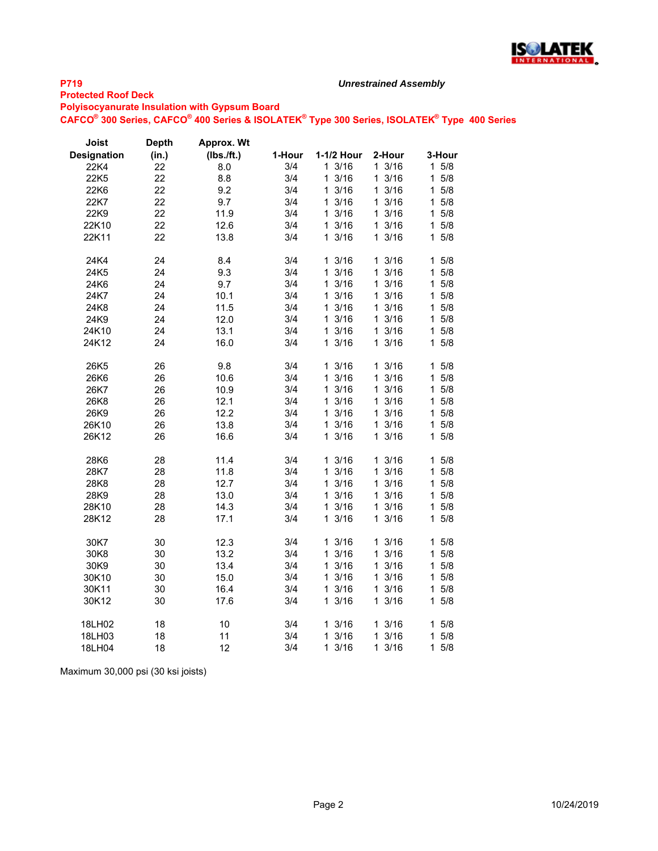

#### **Protected Roof Deck**

**Polyisocyanurate Insulation with Gypsum Board**

**CAFCO® 300 Series, CAFCO® 400 Series & ISOLATEK® Type 300 Series, ISOLATEK® Type 400 Series**

*Unrestrained Assembly*

| Joist              | <b>Depth</b> | Approx. Wt |        |                      |                      |                    |
|--------------------|--------------|------------|--------|----------------------|----------------------|--------------------|
| <b>Designation</b> | (in.)        | (Ibs./ft.) | 1-Hour | 1-1/2 Hour           | 2-Hour               | 3-Hour             |
| 22K4               | 22           | 8.0        | 3/4    | 13/16                | 13/16                | $1 \t5/8$          |
| 22K5               | 22           | 8.8        | 3/4    | 13/16                | 3/16<br>1            | 5/8<br>1           |
| 22K6               | 22           | 9.2        | 3/4    | 13/16                | 13/16                | 5/8<br>1           |
| 22K7               | 22           | 9.7        | 3/4    | 13/16                | 3/16<br>1.           | $5/8$<br>1         |
| 22K9               | 22           | 11.9       | 3/4    | 3/16<br>1.           | $\mathbf{1}$<br>3/16 | 5/8<br>1           |
| 22K10              | 22           | 12.6       | 3/4    | 13/16                | 13/16                | 5/8<br>1           |
| 22K11              | 22           | 13.8       | 3/4    | 13/16                | 3/16<br>1.           | 5/8<br>1           |
| 24K4               | 24           | 8.4        | 3/4    | 13/16                | 13/16                | 5/8<br>$\mathbf 1$ |
| 24K5               | 24           | 9.3        | 3/4    | 13/16                | 13/16                | 5/8<br>1.          |
| 24K6               | 24           | 9.7        | 3/4    | 13/16                | $1 \frac{3}{16}$     | 5/8<br>1           |
| 24K7               | 24           | 10.1       | 3/4    | 3/16<br>1            | 3/16<br>$\mathbf{1}$ | 5/8<br>1           |
| 24K8               | 24           | 11.5       | 3/4    | 13/16                | 13/16                | 5/8<br>1           |
| 24K9               | 24           | 12.0       | 3/4    | 13/16                | 3/16<br>$\mathbf{1}$ | $5/8$<br>1         |
| 24K10              | 24           | 13.1       | 3/4    | 13/16                | 3/16<br>$\mathbf 1$  | 1<br>5/8           |
| 24K12              | 24           | 16.0       | 3/4    | 13/16                | $1 \frac{3}{16}$     | 5/8<br>1           |
| 26K5               | 26           | 9.8        | 3/4    | 3/16<br>1            | 3/16<br>1.           | 5/8<br>1           |
| 26K6               | 26           | 10.6       | 3/4    | 13/16                | $\mathbf{1}$<br>3/16 | 1<br>5/8           |
| 26K7               | 26           | 10.9       | 3/4    | 13/16                | 3/16<br>1.           | 1<br>5/8           |
| 26K8               | 26           | 12.1       | 3/4    | 13/16                | 13/16                | 5/8<br>1           |
| 26K9               | 26           | 12.2       | 3/4    | 13/16                | 3/16<br>1.           | 1<br>5/8           |
| 26K10              | 26           | 13.8       | 3/4    | 13/16                | 13/16                | 5/8<br>1           |
| 26K12              | 26           | 16.6       | 3/4    | 13/16                | 3/16<br>1.           | $5/8$<br>1.        |
| 28K6               | 28           | 11.4       | 3/4    | 13/16                | 13/16                | 5/8<br>1.          |
| 28K7               | 28           | 11.8       | 3/4    | 13/16                | 3/16<br>$\mathbf{1}$ | 5/8<br>1           |
| 28K8               | 28           | 12.7       | 3/4    | 3/16<br>$\mathbf{1}$ | 3/16<br>$\mathbf{1}$ | 5/8<br>1           |
| 28K9               | 28           | 13.0       | 3/4    | 13/16                | 3/16<br>$\mathbf{1}$ | 5/8<br>1           |
| 28K10              | 28           | 14.3       | 3/4    | 13/16                | 3/16<br>1.           | 1<br>5/8           |
| 28K12              | 28           | 17.1       | 3/4    | 13/16                | 13/16                | 5/8<br>1           |
| 30K7               | 30           | 12.3       | 3/4    | 13/16                | 13/16                | $1 \t5/8$          |
| 30K8               | 30           | 13.2       | 3/4    | 13/16                | 3/16<br>1.           | $5/8$<br>1         |
| 30K9               | 30           | 13.4       | 3/4    | 3/16<br>$\mathbf{1}$ | 3/16<br>$\mathbf{1}$ | 5/8<br>1           |
| 30K10              | 30           | 15.0       | 3/4    | 13/16                | 13/16                | $1 \t5/8$          |
| 30K11              | 30           | 16.4       | 3/4    | 13/16                | 13/16                | 5/8<br>1           |
| 30K12              | 30           | 17.6       | 3/4    | 3/16<br>$\mathbf{1}$ | 3/16<br>1            | 5/8<br>1           |
| 18LH02             | 18           | 10         | 3/4    | 13/16                | 13/16                | 1<br>5/8           |
| 18LH03             | 18           | 11         | 3/4    | 13/16                | 3/16<br>1.           | 5/8<br>1           |
| 18LH04             | 18           | 12         | 3/4    | 13/16                | 13/16                | 5/8<br>1.          |
|                    |              |            |        |                      |                      |                    |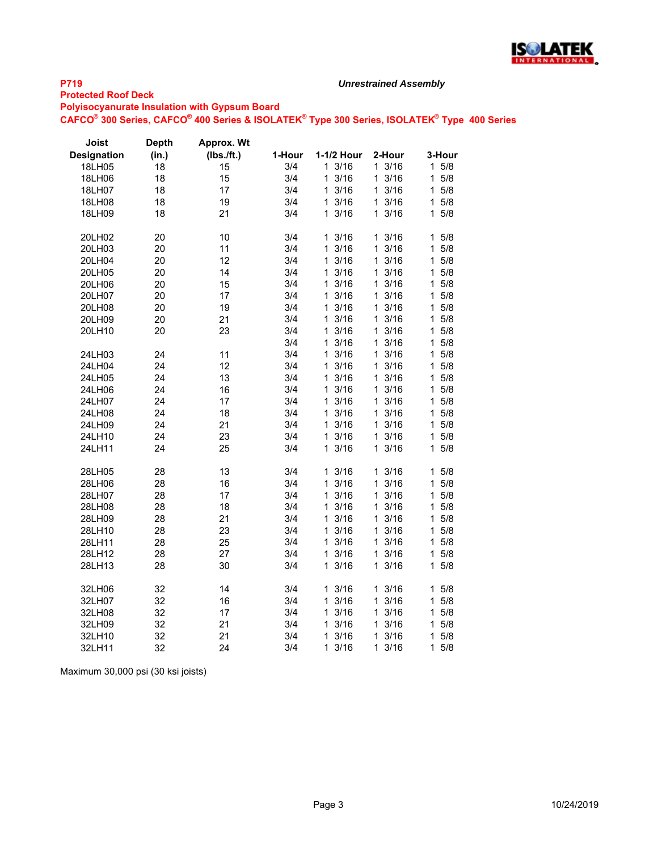

#### **Protected Roof Deck**

**Polyisocyanurate Insulation with Gypsum Board**

**CAFCO® 300 Series, CAFCO® 400 Series & ISOLATEK® Type 300 Series, ISOLATEK® Type 400 Series**

*Unrestrained Assembly*

| Joist              | <b>Depth</b> | Approx. Wt |        |            |                      |                    |
|--------------------|--------------|------------|--------|------------|----------------------|--------------------|
| <b>Designation</b> | (in.)        | (Ibs./ft.) | 1-Hour | 1-1/2 Hour | 2-Hour               | 3-Hour             |
| 18LH05             | 18           | 15         | 3/4    | 13/16      | 13/16                | $5/8$<br>1.        |
| 18LH06             | 18           | 15         | 3/4    | 3/16<br>1  | 13/16                | 1<br>5/8           |
| 18LH07             | 18           | 17         | 3/4    | 3/16<br>1  | 13/16                | 5/8<br>1           |
| 18LH08             | 18           | 19         | 3/4    | 13/16      | 13/16                | 5/8<br>1.          |
| 18LH09             | 18           | 21         | 3/4    | 13/16      | 13/16                | 5/8<br>1.          |
| 20LH02             | 20           | 10         | 3/4    | 13/16      | 13/16                | 5/8<br>1           |
| 20LH03             | 20           | 11         | 3/4    | 3/16<br>1  | 3/16<br>$\mathbf 1$  | 5/8<br>1           |
| 20LH04             | 20           | 12         | 3/4    | 3/16<br>1  | 3/16<br>$\mathbf{1}$ | 5/8<br>1           |
| 20LH05             | 20           | 14         | 3/4    | 13/16      | 13/16                | $\mathbf 1$<br>5/8 |
| 20LH06             | 20           | 15         | 3/4    | 3/16<br>1  | 3/16<br>1.           | 5/8<br>1           |
| 20LH07             | 20           | 17         | 3/4    | 3/16<br>1  | $\mathbf{1}$<br>3/16 | 1<br>5/8           |
| 20LH08             | 20           | 19         | 3/4    | 3/16<br>1  | 3/16<br>$\mathbf 1$  | 5/8<br>1           |
| 20LH09             | 20           | 21         | 3/4    | 3/16<br>1  | $1 \frac{3}{16}$     | 1<br>5/8           |
| 20LH10             | 20           | 23         | 3/4    | 3/16<br>1  | 3/16<br>1.           | 5/8<br>1           |
|                    |              |            | 3/4    | 3/16<br>1  | 3/16<br>$\mathbf 1$  | 1<br>5/8           |
| 24LH03             | 24           | 11         | 3/4    | 13/16      | 13/16                | 5/8<br>1           |
| 24LH04             | 24           | 12         | 3/4    | 3/16<br>1  | 3/16<br>1.           | 5/8<br>1           |
| 24LH05             | 24           | 13         | 3/4    | 3/16<br>1  | 3/16<br>1            | 5/8<br>1           |
| 24LH06             | 24           | 16         | 3/4    | 3/16<br>1  | 3/16<br>1.           | 5/8<br>1           |
| 24LH07             | 24           | 17         | 3/4    | 3/16<br>1  | 13/16                | 5/8<br>1           |
| 24LH08             | 24           | 18         | 3/4    | 3/16<br>1  | 3/16<br>$\mathbf 1$  | 1<br>5/8           |
| 24LH09             | 24           | 21         | 3/4    | 3/16<br>1  | 3/16<br>$\mathbf{1}$ | 5/8<br>1           |
| 24LH10             | 24           | 23         | 3/4    | 13/16      | 13/16                | 1<br>5/8           |
| 24LH11             | 24           | 25         | 3/4    | 13/16      | 3/16<br>1            | 5/8<br>1           |
| 28LH05             | 28           | 13         | 3/4    | 13/16      | 13/16                | 5/8<br>1           |
| 28LH06             | 28           | 16         | 3/4    | 3/16<br>1  | 3/16<br>$\mathbf 1$  | 5/8<br>1           |
| 28LH07             | 28           | 17         | 3/4    | 1<br>3/16  | 3/16<br>$\mathbf{1}$ | 1<br>5/8           |
| 28LH08             | 28           | 18         | 3/4    | 3/16<br>1  | 3/16<br>1            | 5/8<br>1           |
| 28LH09             | 28           | 21         | 3/4    | 13/16      | 13/16                | 5/8<br>1           |
| 28LH10             | 28           | 23         | 3/4    | 3/16<br>1  | 13/16                | 5/8<br>1           |
| 28LH11             | 28           | 25         | 3/4    | 3/16<br>1  | 3/16<br>1.           | 5/8<br>1           |
| 28LH12             | 28           | 27         | 3/4    | 13/16      | 13/16                | 5/8<br>1           |
| 28LH13             | 28           | 30         | 3/4    | 3/16<br>1  | 3/16<br>1.           | 1<br>5/8           |
| 32LH06             | 32           | 14         | 3/4    | 13/16      | 13/16                | 5/8<br>$\mathbf 1$ |
| 32LH07             | 32           | 16         | 3/4    | 3/16<br>1  | $1 \frac{3}{16}$     | 5/8<br>1           |
| 32LH08             | 32           | 17         | 3/4    | 3/16<br>1  | 3/16<br>1.           | 5/8<br>1           |
| 32LH09             | 32           | 21         | 3/4    | 3/16<br>1  | $\mathbf{1}$<br>3/16 | 5/8<br>1           |
| 32LH10             | 32           | 21         | 3/4    | 3/16<br>1  | 13/16                | 1<br>5/8           |
| 32LH11             | 32           | 24         | 3/4    | 3/16<br>1  | 3/16<br>1            | 5/8<br>1           |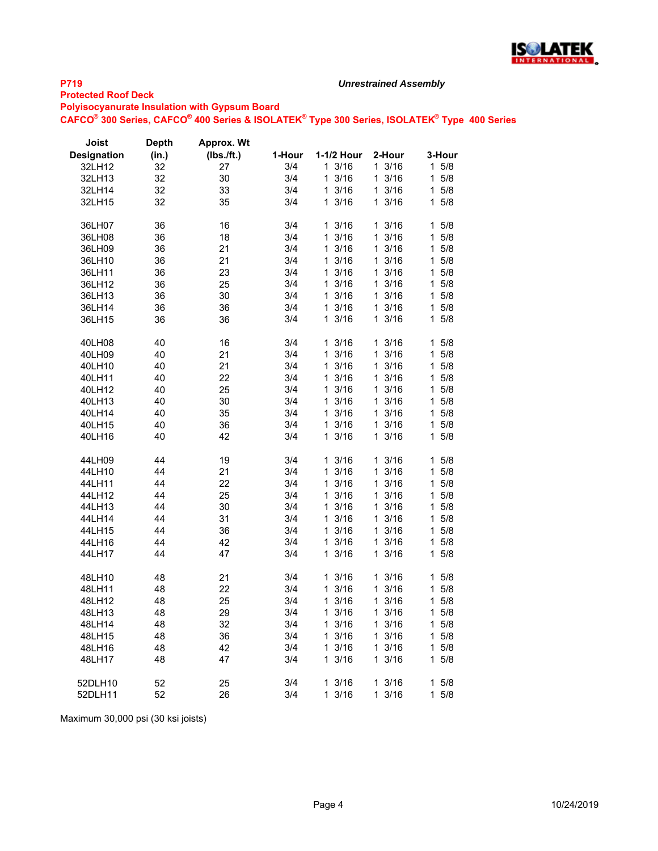

### **Protected Roof Deck**

**Polyisocyanurate Insulation with Gypsum Board**

**CAFCO® 300 Series, CAFCO® 400 Series & ISOLATEK® Type 300 Series, ISOLATEK® Type 400 Series**

*Unrestrained Assembly*

| Joist              | <b>Depth</b> | Approx. Wt   |        |                      |                      |                     |
|--------------------|--------------|--------------|--------|----------------------|----------------------|---------------------|
| <b>Designation</b> | (in.)        | $(Ibs.$ ft.) | 1-Hour | 1-1/2 Hour           | 2-Hour               | 3-Hour              |
| 32LH12             | 32           | 27           | 3/4    | 13/16                | 13/16                | $1 \t5/8$           |
| 32LH13             | 32           | 30           | 3/4    | 1<br>3/16            | 13/16                | 15/8                |
| 32LH14             | 32           | 33           | 3/4    | $\mathbf{1}$<br>3/16 | 13/16                | 5/8<br>1.           |
| 32LH15             | 32           | 35           | 3/4    | 13/16                | 13/16                | $1 \t5/8$           |
|                    |              |              |        |                      |                      |                     |
| 36LH07             | 36           | 16           | 3/4    | $1 \frac{3}{16}$     | $1 \frac{3}{16}$     | 15/8                |
| 36LH08             | 36           | 18           | 3/4    | 3/16<br>1            | 13/16                | 5/8<br>1            |
| 36LH09             | 36           | 21           | 3/4    | 3/16<br>1            | 13/16                | 5/8<br>1.           |
| 36LH10             | 36           | 21           | 3/4    | 1<br>3/16            | $1 \frac{3}{16}$     | 15/8                |
| 36LH11             | 36           | 23           | 3/4    | 3/16<br>1            | 13/16                | 5/8<br>1.           |
| 36LH12             | 36           | 25           | 3/4    | $\mathbf{1}$<br>3/16 | 13/16                | $1 \t5/8$           |
| 36LH13             | 36           | 30           | 3/4    | 3/16<br>1            | 13/16                | 5/8<br>1            |
|                    |              |              |        | 13/16                | 13/16                | 5/8                 |
| 36LH14             | 36           | 36           | 3/4    |                      |                      | $\mathbf{1}$        |
| 36LH15             | 36           | 36           | 3/4    | 3/16<br>1            | 13/16                | 5/8<br>1.           |
| 40LH08             | 40           | 16           | 3/4    | 3/16<br>1            | $1 \frac{3}{16}$     | 1.<br>5/8           |
| 40LH09             | 40           | 21           | 3/4    | 1<br>3/16            | 13/16                | 5/8<br>$\mathbf 1$  |
| 40LH10             | 40           | 21           | 3/4    | 1<br>3/16            | $1 \frac{3}{16}$     | $1 \t5/8$           |
| 40LH11             | 40           | 22           | 3/4    | 3/16<br>1            | 13/16                | 5/8<br>1            |
| 40LH12             | 40           | 25           | 3/4    | 3/16<br>1            | 13/16                | 5/8<br>1            |
| 40LH13             | 40           | 30           | 3/4    | 3/16<br>1            | 13/16                | 5/8<br>1            |
| 40LH14             | 40           | 35           | 3/4    | 3/16<br>1            | 13/16                | 1<br>5/8            |
| 40LH15             | 40           | 36           | 3/4    | 3/16<br>1            | 13/16                | 5/8<br>$\mathbf 1$  |
| 40LH16             | 40           | 42           | 3/4    | 3/16<br>1            | 13/16                | 5/8<br>1.           |
|                    |              |              |        |                      |                      |                     |
| 44LH09             | 44           | 19           | 3/4    | 3/16<br>1            | 3/16<br>1            | 5/8<br>1            |
| 44LH10             | 44           | 21           | 3/4    | 3/16<br>1            | 13/16                | 5/8<br>1.           |
| 44LH11             | 44           | 22           | 3/4    | 3/16<br>1            | 13/16                | 5/8<br>1            |
| 44LH12             | 44           | 25           | 3/4    | 3/16<br>$\mathbf{1}$ | 13/16                | 5/8<br>1.           |
| 44LH13             | 44           | 30           | 3/4    | 3/16<br>1            | 13/16                | 5/8<br>1            |
| 44LH14             | 44           | 31           | 3/4    | 3/16<br>1            | 13/16                | 5/8<br>1.           |
| 44LH15             | 44           | 36           | 3/4    | 1<br>3/16            | 13/16                | 5/8<br>1.           |
| 44LH16             | 44           | 42           | 3/4    | 3/16<br>1            | $1 \frac{3}{16}$     | 5/8<br>1.           |
| 44LH17             | 44           | 47           | 3/4    | 13/16                | 13/16                | $1 \t5/8$           |
|                    |              |              |        |                      |                      |                     |
| 48LH10             | 48           | 21           | 3/4    | 13/16                | 13/16                | 15/8                |
| 48LH11             | 48           | 22           | 3/4    | 3/16<br>1            | 13/16                | 1<br>5/8            |
| 48LH12             | 48           | 25           | 3/4    | 1<br>3/16            | 13/16                | 1<br>5/8            |
| 48LH13             | 48           | 29           | 3/4    | 3/16<br>1            | $1 \frac{3}{16}$     | 1.<br>5/8           |
| 48LH14             | 48           | 32           | 3/4    | 1<br>3/16            | 13/16                | 5/8<br>$\mathbf 1$  |
| 48LH15             | 48           | 36           | 3/4    | 3/16<br>1            | 13/16                | 15/8                |
| 48LH16             | 48           | 42           | 3/4    | 3/16<br>1            | $1 \frac{3}{16}$     | 5/8<br>1            |
| 48LH17             | 48           | 47           | 3/4    | 13/16                | 13/16                | $1 \t5/8$           |
|                    |              |              |        |                      |                      |                     |
| 52DLH10            | 52           | 25           | 3/4    | 13/16                | 13/16                | 1<br>5/8            |
| 52DLH11            | 52           | 26           | 3/4    | 3/16<br>1            | 3/16<br>$\mathbf{1}$ | $\mathbf{1}$<br>5/8 |